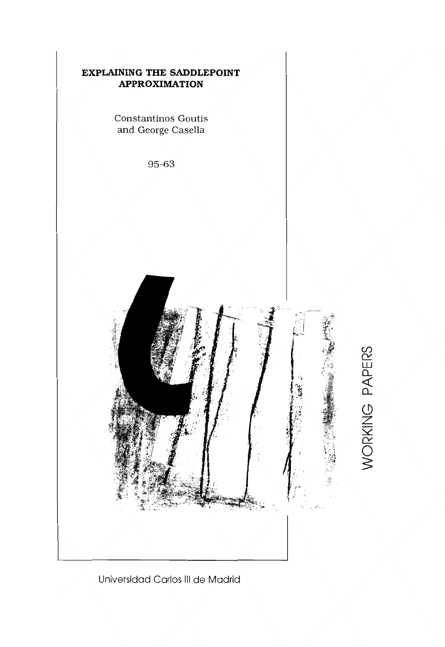

# Universidad Carlos **III** de Madrid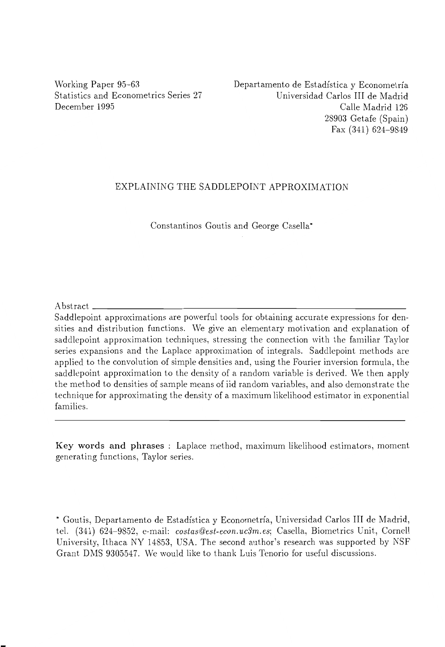Working Paper 95-63 Statistics and Econometrics Series 27 December 1995

Departamento de Estadfstica y Econometrfa Universidad Carlos III de Madrid Calle Madrid 126 28903 Getafe (Spain) Fax (341) 624-9849

#### EXPLAINING THE SADDLEPOINT APPROXIMATION

Constantinos Goutis and George Casella\*

 $\Delta$  bstract

Saddlepoint approximations are powerful tools for obtaining accurate expressions for densities and distribution functions. \Ve give an elementary motivation and explanation of saddlepoint approximation techniques, stressing the connection with the familiar Taylor series expansions and the Laplace approximation of integrals. Saddlepoint methods are applied to the convolution of simple densities and, using the Fourier inversion formula, the saddlepoint approximation to the density of a random variable is derived. We then apply the method to densities of sample means of iid random variables, and also demonstrate the technique for approximating the density of a maximum likelihood estimator in exponential families.

Key words and phrases : Laplace method, maximum likelihood estimators, moment generating functions, Taylor series.

\* Goutis, Departamento de Estadfstica y Econometrfa, Universidad Carlos III de Madrid, tel. (341) 624-9852, e-mail: *costas@est-econ.uc3m.es;* Casella, Biometrics Unit, Cornell University, Ithaca NY 14853, USA. The second author's research was supported by NSF Grant DMS 9305547. We would like to thank Luis Tenorio for useful discussions.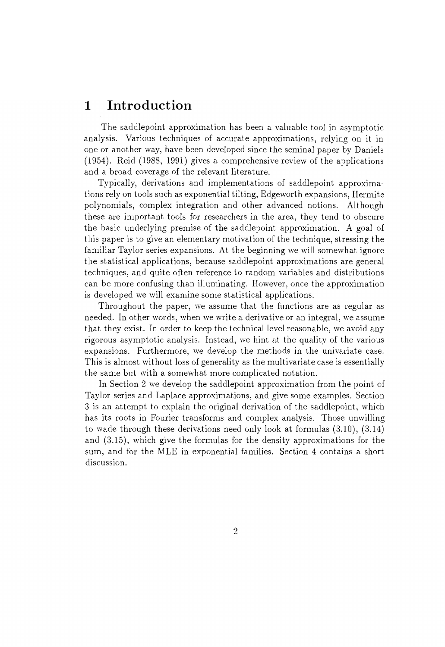# **1 Introduction**

The saddlepoint approximation has been a valuable tool in asymptotic analysis. Various techniques of accurate approximations, relying on it in one or another way, have been developed since the seminal paper by Daniels (1954). Reid (1988, 1991) gives a comprehensive review of the applications and a broad coverage of the relevant literature.

Typically, derivations and implementations of saddlepoint approximations rely on tools such as exponential tilting, Edgeworth expansions, Hermite polynomials, complex integration and other advanced notions. Although these are important tools for researchers in the area, they tend to obscure the basic underlying premise of the saddlepoint approximation. A goal of this paper is to give an elementary motivation of the technique, stressing the familiar Taylor series expansions. At the beginning we will somewhat ignore the statistical applications, because saddlepoint approximations are general techniques, and quite often reference to random variables and distributions can be more confusing than illuminating. However, once the approximation is developed we will examine some statistical applications.

Throughout the paper, we assume that the functions are as regular as needed. In other words, when we write a derivative or an integral, we assume that they exist. In order to keep the technical level reasonable, we avoid any rigorous asymptotic analysis. Instead, we hint at the quality of the various expansions. Furthermore, we develop the methods in the univariate case. This is almost without loss of generality as the multivariate case is essentially the same but with a somewhat more complicated notation.

In Section 2 we develop the saddlepoint approximation from the point of Taylor series and Laplace approximations, and give some examples. Section 3 is an attempt to explain the original derivation of the saddlepoint, which has its roots in Fourier transforms and complex analysis. Those unwilling to wade through these derivations need only look at formulas (3.10), (3.14) and (3.15), which give the formulas for the density approximations for the sum, and for the MLE in exponential families. Section 4 contains a short discussion.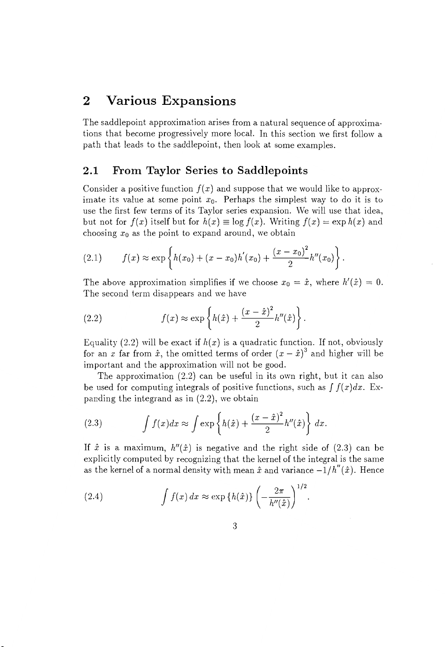## **2 Various Expansions**

The saddlepoint approximation arises from a natural sequence of approximations that become progressively more local. In this section we first follow a path that leads to the saddlepoint, then look at some examples.

### **2.1 From Taylor Series to Saddlepoints**

Consider a positive function  $f(x)$  and suppose that we would like to approximate its value at some point  $x_0$ . Perhaps the simplest way to do it is to use the first few terms of its Taylor series expansion. We will use that idea, but not for  $f(x)$  itself but for  $h(x) \equiv \log f(x)$ . Writing  $f(x) = \exp h(x)$  and choosing  $x_0$  as the point to expand around, we obtain

(2.1) 
$$
f(x) \approx \exp\left\{h(x_0) + (x - x_0)h'(x_0) + \frac{(x - x_0)^2}{2}h''(x_0)\right\}.
$$

The above approximation simplifies if we choose  $x_0 = \hat{x}$ , where  $h'(\hat{x}) = 0$ . The second term disappears and we have

(2.2) 
$$
f(x) \approx \exp\left\{h(\hat{x}) + \frac{(x-\hat{x})^2}{2}h''(\hat{x})\right\}.
$$

Equality (2.2) will be exact if  $h(x)$  is a quadratic function. If not, obviously for an x far from  $\hat{x}$ , the omitted terms of order  $(x - \hat{x})^3$  and higher will be important and the approximation will not be good.

The approximation (2.2) can be useful in its own right, but it can also be used for computing integrals of positive functions, such as  $\int f(x)dx$ . Expanding the integrand as in  $(2.2)$ , we obtain

(2.3) 
$$
\int f(x)dx \approx \int \exp\left\{h(\hat{x}) + \frac{(x-\hat{x})^2}{2}h''(\hat{x})\right\} dx.
$$

If  $\hat{x}$  is a maximum,  $h''(\hat{x})$  is negative and the right side of (2.3) can be explicitly computed by recognizing that the kernel of the integral is the same as the kernel of a normal density with mean  $\hat{x}$  and variance  $-1/h''(\hat{x})$ . Hence

(2.4) 
$$
\int f(x) dx \approx \exp\{h(\hat{x})\} \left(-\frac{2\pi}{h''(\hat{x})}\right)^{1/2}.
$$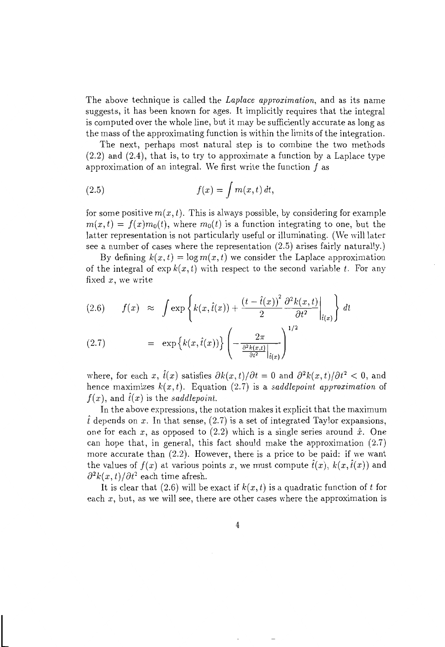The above technique is called the *Laplace approximation,* and as its name suggests, it has been known for ages. It implicitly requires that the integral is computed over the whole line, but it may be sufficiently accurate as long as the mass of the approximating function is within the limits of the integration.

The next, perhaps most natural step is to combine the two methods (2.2) and (2.4), that is, to try to approximate a function by a Laplace type approximation of an integral. We first write the function  $f$  as

(2.5) 
$$
f(x) = \int m(x, t) dt,
$$

for some positive  $m(x, t)$ . This is always possible, by considering for example  $m(x, t) = f(x)m_0(t)$ , where  $m_0(t)$  is a function integrating to one, but the latter representation is not particularly useful or illuminating. (We will later see a number of cases where the representation (2.5) arises fairly naturally.)

By defining  $k(x, t) = \log m(x, t)$  we consider the Laplace approximation of the integral of  $\exp k(x, t)$  with respect to the second variable *t*. For any fixed *x,* we write

$$
(2.6) \t f(x) \approx \int \exp\left\{k(x,\hat{t}(x)) + \frac{\left(t - \hat{t}(x)\right)^2}{2} \frac{\partial^2 k(x,t)}{\partial t^2}\Big|_{\hat{t}(x)}\right\} dt
$$

(2.7) = 
$$
\exp \left\{ k(x, \hat{t}(x)) \right\} \left( -\frac{2\pi}{\frac{\partial^2 k(x,t)}{\partial t^2} \Big|_{\hat{t}(x)}} \right)^{1/2}
$$

where, for each *x*,  $\hat{t}(x)$  satisfies  $\partial k(x, t)/\partial t = 0$  and  $\partial^2 k(x, t)/\partial t^2 < 0$ , and hence maximizes *k(x, t).* Equation (2.7) is a *saddlepoint approximation* of  $f(x)$ , and  $f(x)$  is the *saddlepoint*.

**In** the above expressions, the notation makes it explicit that the maximum  $\hat{t}$  depends on x. In that sense,  $(2.7)$  is a set of integrated Taylor expansions, one for each  $x$ , as opposed to  $(2.2)$  which is a single series around  $\hat{x}$ . One can hope that, in general, this fact should make the approximation (2.7) more accurate than (2.2). However, there is a price to be paid: if we want the values of  $f(x)$  at various points x, we must compute  $\hat{t}(x)$ ,  $k(x, \hat{t}(x))$  and  $\frac{\partial^2 k(x,t)}{\partial t^2}$  each time afresh.

It is clear that  $(2.6)$  will be exact if  $k(x, t)$  is a quadratic function of t for each x, but, as we will see, there are other cases where the approximation is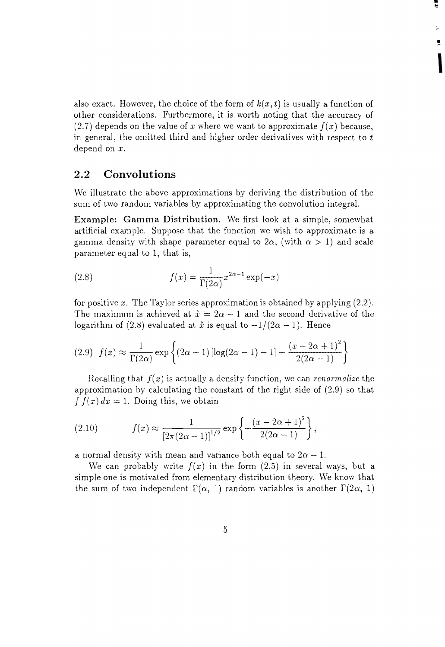also exact. However, the choice of the form of  $k(x, t)$  is usually a function of other considerations. Furthermore, it is worth noting that the accuracy of  $(2.7)$  depends on the value of x where we want to approximate  $f(x)$  because, in general, the omitted third and higher order derivatives with respect to  $t$ depend on *x.* 

• ii

,

### **2.2 Convolutions**

We illustrate the above approximations by deriving the distribution of the sum of two random variables by approximating the convolution integral.

**Example: Gamma Distribution.** We first look at a simple, somewhat artificial example. Suppose that the function we wish to approximate is a gamma density with shape parameter equal to  $2\alpha$ , (with  $\alpha > 1$ ) and scale parameter equal to 1, that is,

(2.8) 
$$
f(x) = \frac{1}{\Gamma(2\alpha)} x^{2\alpha - 1} \exp(-x)
$$

for positive *x.* The Taylor series approximation is obtained by applying (2.2). The maximum is achieved at  $\hat{x} = 2\alpha - 1$  and the second derivative of the logarithm of (2.8) evaluated at  $\hat{x}$  is equal to  $-1/(2\alpha -1)$ . Hence

$$
(2.9) \ \ f(x) \approx \frac{1}{\Gamma(2\alpha)} \exp\left\{ (2\alpha - 1) \left[ \log(2\alpha - 1) - 1 \right] - \frac{(x - 2\alpha + 1)^2}{2(2\alpha - 1)} \right\}
$$

Recalling that  $f(x)$  is actually a density function, we can *renormalize* the approximation by calculating the constant of the right side of (2.9) so that  $\int f(x) dx = 1$ . Doing this, we obtain

(2.10) 
$$
f(x) \approx \frac{1}{\left[2\pi(2\alpha - 1)\right]^{1/2}} \exp\left\{-\frac{(x - 2\alpha + 1)^2}{2(2\alpha - 1)}\right\},\,
$$

a normal density with mean and variance both equal to  $2\alpha - 1$ .

We can probably write  $f(x)$  in the form  $(2.5)$  in several ways, but a simple one is motivated from elementary distribution theory. We know that the sum of two independent  $\Gamma(\alpha, 1)$  random variables is another  $\Gamma(2\alpha, 1)$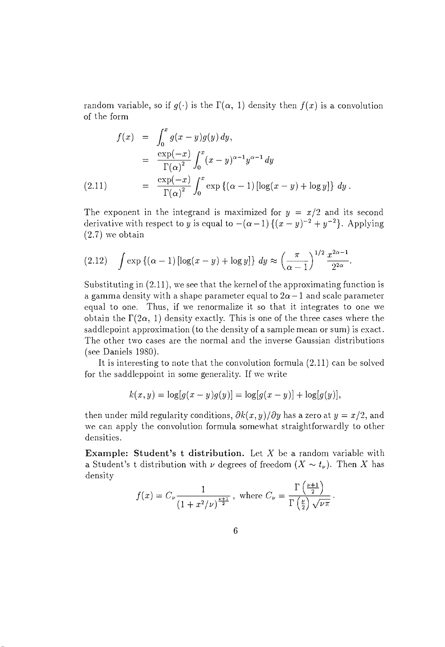random variable, so if  $q(.)$  is the  $\Gamma(\alpha, 1)$  density then  $f(x)$  is a convolution of the form

$$
f(x) = \int_0^x g(x-y)g(y) dy,
$$
  
\n
$$
= \frac{\exp(-x)}{\Gamma(\alpha)^2} \int_0^x (x-y)^{\alpha-1} y^{\alpha-1} dy
$$
  
\n(2.11) 
$$
= \frac{\exp(-x)}{\Gamma(\alpha)^2} \int_0^x \exp\left\{(\alpha-1) \left[\log(x-y) + \log y\right]\right\} dy.
$$

The exponent in the integrand is maximized for  $y = x/2$  and its second derivative with respect to *y* is equal to  $-(\alpha-1)\{(x-y)^{-2}+y^{-2}\}$ . Applying (2.7) we obtain

(2.12) 
$$
\int \exp \left\{ (\alpha - 1) \left[ \log(x - y) + \log y \right] \right\} dy \approx \left( \frac{\pi}{\alpha - 1} \right)^{1/2} \frac{x^{2\alpha - 1}}{2^{2\alpha}}.
$$

Substituting in (2.11), we see that the kernel of the approximating function is a gamma density with a shape parameter equal to  $2\alpha - 1$  and scale parameter equal to one. Thus, if we renormalize it so that it integrates to one we obtain the  $\Gamma(2\alpha, 1)$  density exactly. This is one of the three cases where the saddlepoint approximation (to the density of a sample mean or sum) is exact. The other two cases are the normal and the inverse Gaussian distributions (see Daniels 1980).

It is interesting to note that the convolution formula (2.11) can be solved for the saddleppoint in some generality. If we write

$$
k(x, y) = \log[g(x - y)g(y)] = \log[g(x - y)] + \log[g(y)],
$$

then under mild regularity conditions,  $\partial k(x, y)/\partial y$  has a zero at  $y = x/2$ , and we can apply the convolution formula somewhat straightforwardly to other densities.

**Example: Student's t distribution.** Let X be a random variable with a Student's t distribution with  $\nu$  degrees of freedom  $(X \sim t_{\nu})$ . Then X has density

$$
f(x) = C_{\nu} \frac{1}{\left(1 + x^2/\nu\right)^{\frac{\nu+1}{2}}}, \text{ where } C_{\nu} = \frac{\Gamma\left(\frac{\nu+1}{2}\right)}{\Gamma\left(\frac{\nu}{2}\right)\sqrt{\nu\pi}}.
$$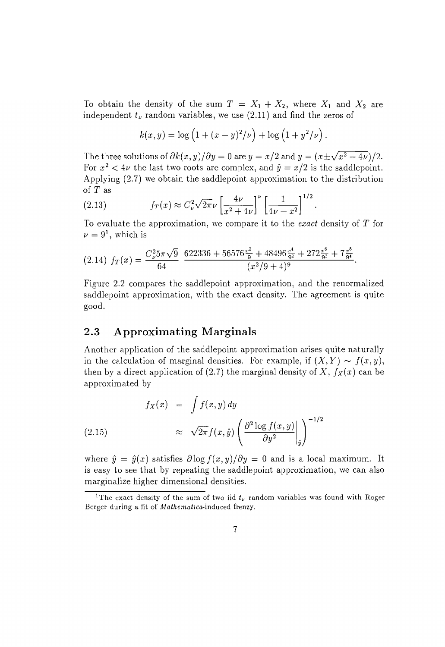To obtain the density of the sum  $T = X_1 + X_2$ , where  $X_1$  and  $X_2$  are independent  $t_{\nu}$  random variables, we use  $(2.11)$  and find the zeros of

$$
k(x,y) = \log (1 + (x - y)^2 / \nu) + \log (1 + y^2 / \nu).
$$

The three solutions of  $\partial k(x, y)/\partial y = 0$  are  $y = x/2$  and  $y = (x \pm \sqrt{x^2 - 4\nu})/2$ . For  $x^2 < 4\nu$  the last two roots are complex, and  $\hat{y} = x/2$  is the saddlepoint. Applying (2.7) we obtain the saddlepoint approximation to the distribution of T as

(2.13) 
$$
f_T(x) \approx C_{\nu}^2 \sqrt{2\pi \nu} \left[ \frac{4\nu}{x^2 + 4\nu} \right]^{\nu} \left[ \frac{1}{4\nu - x^2} \right]^{1/2}
$$

To evaluate the approximation, we compare it to the *exact* density of T for  $\nu = 9^1$ , which is

$$
(2.14) f_T(x) = \frac{C_{\nu}^2 5\pi \sqrt{9}}{64} \frac{622336 + 56576 \frac{x^2}{9} + 48496 \frac{x^4}{9^2} + 272 \frac{x^6}{9^3} + 7 \frac{x^8}{9^4}}{(x^2/9 + 4)^9}.
$$

Figure 2.2 compares the saddlepoint approximation, and the renormalized saddlepoint approximation, with the exact density. The agreement is quite good.

### **2.3 Approximating Marginals**

Another application of the saddlepoint approximation arises quite naturally in the calculation of marginal densities. For example, if  $(X, Y) \sim f(x, y)$ , then by a direct application of  $(2.7)$  the marginal density of X,  $f_X(x)$  can be approximated by

(2.15) 
$$
f_X(x) = \int f(x, y) dy
$$

$$
\approx \sqrt{2\pi} f(x, \hat{y}) \left( \frac{\partial^2 \log f(x, y)}{\partial y^2} \Big|_{\hat{y}} \right)^{-1/2}
$$

where  $\hat{y} = \hat{y}(x)$  satisfies  $\partial \log f(x, y)/\partial y = 0$  and is a local maximum. It is easy to see that by repeating the saddlepoint approximation, we can also marginalize higher dimensional densities.

<sup>&</sup>lt;sup>1</sup>The exact density of the sum of two iid  $t_{\nu}$  random variables was found with Roger Berger during a fit of *Mathematica-induced* frenzy.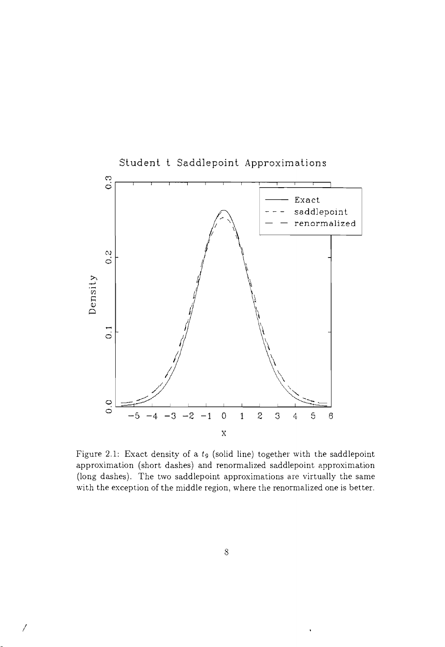

Figure 2.1: Exact density of a  $t_9$  (solid line) together with the saddlepoint approximation (short dashes) and renormalized saddlepoint approximation (long dashes). The two saddlepoint approximations are virtually the same with the exception of the middle region, where the renormalized one is better.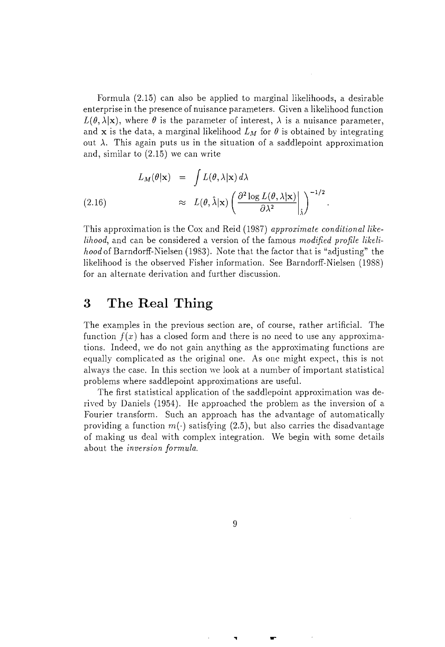Formula (2.15) can also be applied to marginal likelihoods, a desirable enterprise in the presence of nuisance parameters. Given a likelihood function  $L(\theta, \lambda | \mathbf{x})$ , where  $\theta$  is the parameter of interest,  $\lambda$  is a nuisance parameter, and **x** is the data, a marginal likelihood  $L_M$  for  $\theta$  is obtained by integrating out  $\lambda$ . This again puts us in the situation of a saddlepoint approximation and, similar to (2.15) we can write

$$
L_M(\theta|\mathbf{x}) = \int L(\theta, \lambda|\mathbf{x}) d\lambda
$$
  
(2.16) 
$$
\approx L(\theta, \hat{\lambda}|\mathbf{x}) \left( \frac{\partial^2 \log L(\theta, \lambda|\mathbf{x})}{\partial \lambda^2} \Big|_{\hat{\lambda}} \right)^{-1/2}.
$$

This approximation is the Cox and Reid (1987) *approximate conditional likelilwod,* and can be considered a version of the famous *modified profile likelihood* of Barndorff-Nielsen (1983). Note that the factor that is "adjusting" the likelihood is the observed Fisher information. See Barndorff-Nielsen (1988) for an alternate derivation and further discussion.

## **3 The Real Thing**

The examples in the previous section are, of course, rather artificial. The function  $f(x)$  has a closed form and there is no need to use any approximations. Indeed, we do not gain anything as the approximating functions are equally complicated as the original one. As one might expect, this is not always the case. **In** this section we look at a number of important statistical problems where saddlepoint approximations are useful.

The first statistical application of the saddlepoint approximation was derived by Daniels (1954). He approached the problem as the inversion of a Fourier transform. Such an approach has the advantage of automatically providing a function  $m(\cdot)$  satisfying (2.5), but also carries the disadvantage of making us deal with complex integration. We begin with some details about the *inversion formula.*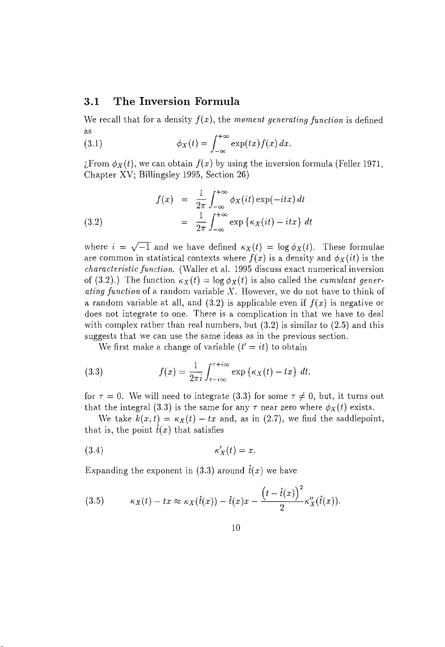### **3.1 The Inversion Formula**

We recall that for a density  $f(x)$ , the *moment generating function* is defined as

(3.1) 
$$
\phi_X(t) = \int_{-\infty}^{+\infty} \exp(tx) f(x) dx.
$$

; From  $\phi_X(t)$ , we can obtain  $f(x)$  by using the inversion formula (Feller 1971, Chapter XV; Billingsley 1995, Section 26)

(3.2) 
$$
f(x) = \frac{1}{2\pi} \int_{-\infty}^{+\infty} \phi_X(it) \exp(-itx) dt
$$

$$
= \frac{1}{2\pi} \int_{-\infty}^{+\infty} \exp \{ \kappa_X(it) - itx \} dt
$$

where  $i = \sqrt{-1}$  and we have defined  $\kappa_X(t) = \log \phi_X(t)$ . These formulae are common in statistical contexts where  $f(x)$  is a density and  $\phi_X(it)$  is the *characteristic function.* (WaIler et al. 1995 discuss exact numerical inversion of (3.2).) The function  $\kappa_X(t) = \log \phi_X(t)$  is also called the *cumulant generating function* of a random variable X. However, we do not have to think of a random variable at all, and  $(3.2)$  is applicable even if  $f(x)$  is negative or does not integrate to one. There is a complication in that we have to deal with complex rather than real numbers, but  $(3.2)$  is similar to  $(2.5)$  and this suggests that we can use the same ideas as in the previous section.

We first make a change of variable  $(t' = it)$  to obtain

(3.3) 
$$
f(x) = \frac{1}{2\pi i} \int_{\tau - i\infty}^{\tau + i\infty} \exp \{ \kappa_X(t) - tx \} dt.
$$

for  $\tau = 0$ . We will need to integrate (3.3) for some  $\tau \neq 0$ , but, it turns out that the integral (3.3) is the same for any  $\tau$  near zero where  $\phi_X(t)$  exists.

We take  $k(x, t) = \kappa_X(t) - tx$  and, as in (2.7), we find the saddlepoint, that is, the point  $\hat{t}(x)$  that satisfies

$$
\kappa_X'(t) = x.
$$

Expanding the exponent in (3.3) around  $\hat{t}(x)$  we have

(3.5) 
$$
\kappa_X(t) - tx \approx \kappa_X(\hat{t}(x)) - \hat{t}(x)x - \frac{\left(t - \hat{t}(x)\right)^2}{2} \kappa''_X(\hat{t}(x)).
$$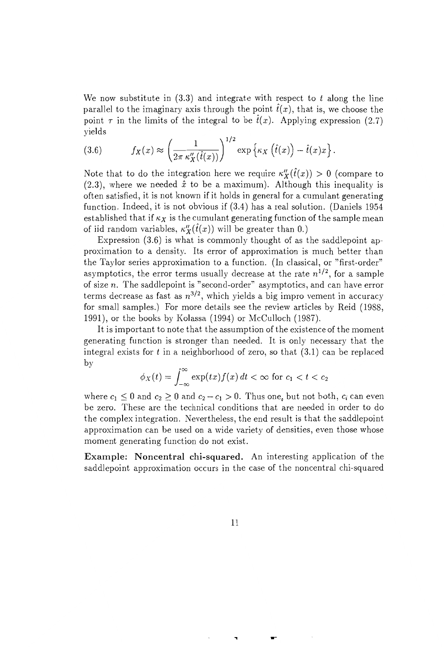We now substitute in  $(3.3)$  and integrate with respect to t along the line parallel to the imaginary axis through the point  $\hat{t}(x)$ , that is, we choose the point  $\tau$  in the limits of the integral to be  $\hat{t}(x)$ . Applying expression (2.7) yields

(3.6) 
$$
f_X(x) \approx \left(\frac{1}{2\pi \kappa_X''(\hat{t}(x))}\right)^{1/2} \exp \left\{\kappa_X(\hat{t}(x)) - \hat{t}(x)x\right\}.
$$

Note that to do the integration here we require  $\kappa''_X(\hat{t}(x)) > 0$  (compare to  $(2.3)$ , where we needed  $\hat{x}$  to be a maximum). Although this inequality is often satisfied, it is not known if it holds in general for a cumulant generating function. Indeed, it is not obvious if (3.4) has a real solution. (Daniels 1954 established that if  $\kappa_X$  is the cumulant generating function of the sample mean of iid random variables,  $\kappa''_X(\hat{t}(x))$  will be greater than 0.)

Expression (3.6) is what is commonly thought of as the saddlepoint approximation to a density. Its error of approximation is much better than the Taylor series approximation to a function. (In classical, or "first-order" asymptotics, the error terms usually decrease at the rate  $n^{1/2}$ , for a sample of size *n.* The saddlepoint is "second-order" asymptotics, and can have error terms decrease as fast as  $n^{3/2}$ , which yields a big impro vement in accuracy for small samples.) For more details see the review articles by Reid (1988, 1991), or the books by Kolassa (1994) or McCulloch (1987).

It is important to note that the assumption of the existence of the moment generating function is stronger than needed. It is only necessary that the integral exists for *t* in a neighborhood of zero, so that (3.1) can be replaced by

$$
\phi_X(t) = \int_{-\infty}^{\infty} \exp(tx) f(x) dt < \infty \text{ for } c_1 < t < c_2
$$

where  $c_1 \leq 0$  and  $c_2 \geq 0$  and  $c_2 - c_1 > 0$ . Thus one, but not both,  $c_i$  can even be zero. These are the technical conditions that are needed in order to do the complex integration. Nevertheless, the end result is that the saddlepoint approximation can be used on a wide variety of densities, even those whose moment generating function do not exist.

Example: Noncentral chi-squared. An interesting application of the saddlepoint approximation occurs in the case of the noncentral chi-squared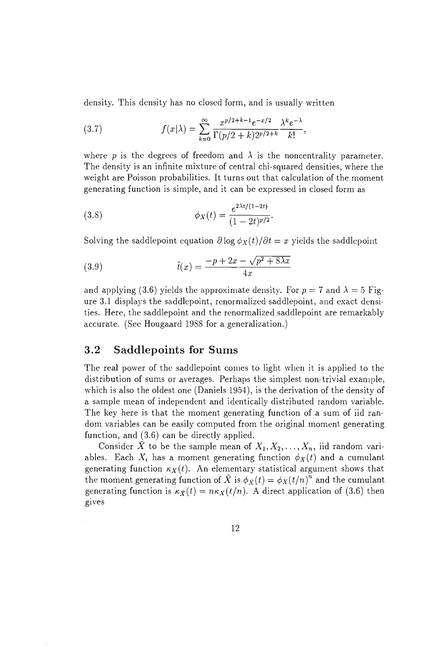density. This density has no closed form, and is usually written

(3.7) 
$$
f(x|\lambda) = \sum_{k=0}^{\infty} \frac{x^{p/2+k-1}e^{-x/2}}{\Gamma(p/2+k)2^{p/2+k}} \frac{\lambda^k e^{-\lambda}}{k!},
$$

where p is the degrees of freedom and  $\lambda$  is the noncentrality parameter. The density is an infinite mixture of central chi-squared densities, where the weight are Poisson probabilities. It turns out that calculation of the moment generating function is simple, and it can be expressed in closed form as

(3.8) 
$$
\phi_X(t) = \frac{e^{2\lambda t/(1-2t)}}{(1-2t)^{p/2}}.
$$

Solving the saddlepoint equation  $\partial \log \phi_X(t) / \partial t = x$  yields the saddlepoint

(3.9) 
$$
\hat{t}(x) = \frac{-p + 2x - \sqrt{p^2 + 8\lambda x}}{4x}
$$

and applying (3.6) yields the approximate density. For  $p = 7$  and  $\lambda = 5$  Figure 3.1 displays the saddlepoint, renormalized saddlepoint, and exact densities. Here, the saddlepoint and the renormalized saddlepoint are remarkably accurate. (See Hougaard 1988 for a generalization.)

#### **3.2 Saddlepoints for Sums**

The real power of the saddlepoint comes to light when it is applied to the distribution of sums or averages. Perhaps the simplest non-trivial example, which is also the oldest one (Daniels 1954), is the derivation of the density of a sample mean of independent and identically distributed random variable. The key here is that the moment generating function of a sum of iid random variables can be easily computed from the original moment generating function, and (3.6) can be directly applied.

Consider  $\bar{X}$  to be the sample mean of  $X_1, X_2, \ldots, X_n$ , iid random variables. Each  $X_i$  has a moment generating function  $\phi_X(t)$  and a cumulant generating function  $\kappa_X(t)$ . An elementary statistical argument shows that the moment generating function of  $\bar{X}$  is  $\phi_{\bar{X}}(t) = \phi_{X}(t/n)^{\bar{n}}$  and the cumulant generating function is  $\kappa_{\bar{X}}(t) = n\kappa_{X}(t/n)$ . A direct application of (3.6) then gIves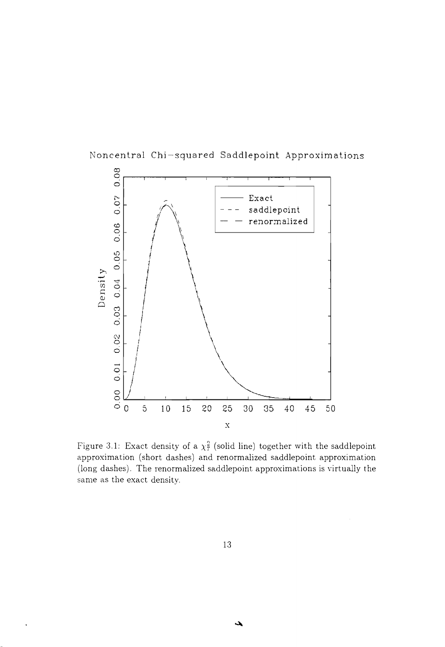

Noncentral Chi-squared Saddlepoint Approximations

Figure 3.1: Exact density of a  $\chi^2$  (solid line) together with the saddlepoint approximation (short dashes) and renormalized saddlepoint approximation (long dashes). The renormalized saddlepoint approximations is virtually the same as the exact density.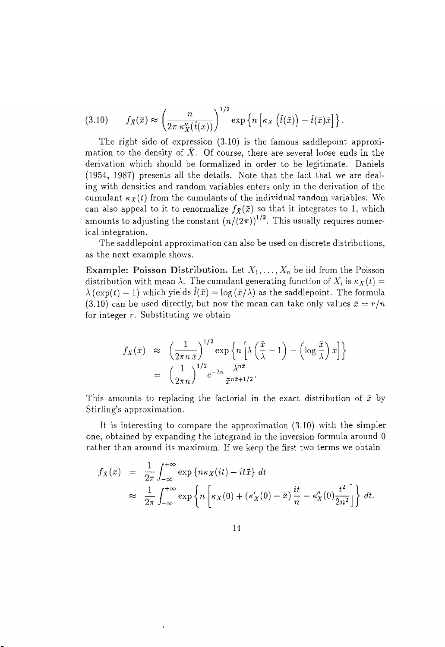$$
(3.10) \t f_{\bar{X}}(\bar{x}) \approx \left(\frac{n}{2\pi \kappa_X''(\hat{t}(\bar{x}))}\right)^{1/2} \exp \left\{n \left[\kappa_X\left(\hat{t}(\bar{x})\right) - \hat{t}(\bar{x})\bar{x}\right]\right\}.
$$

The right side of expression (3.10) is the famous saddlepoint approximation to the density of  $\bar{X}$ . Of course, there are several loose ends in the derivation which should be formalized in order to be legitimate. Daniels (1954, 1987) presents all the details. Note that the fact that we are dealing with densities and random variables enters only in the derivation of the cumulant  $\kappa_{\bar{X}}(t)$  from the cumulants of the individual random variables. We can also appeal to it to renormalize  $f_{\bar{X}}(\bar{x})$  so that it integrates to 1, which amounts to adjusting the constant  $(n/(2\pi))^{1/2}$ . This usually requires numerical integration.

The saddlepoint approximation can also be used on discrete distributions, as the next example shows.

Example: Poisson Distribution. Let  $X_1, \ldots, X_n$  be iid from the Poisson distribution with mean  $\lambda$ . The cumulant generating function of  $X_i$  is  $\kappa_X(t)$  =  $\lambda$  (exp(t) - 1) which yields  $\hat{t}(\bar{x}) = \log(\bar{x}/\lambda)$  as the saddlepoint. The formula (3.10) can be used directly, but now the mean can take only values  $\bar{x} = r/n$ for integer *r.* Substituting we obtain

$$
f_{\bar{X}}(\bar{x}) \approx \left(\frac{1}{2\pi n \,\bar{x}}\right)^{1/2} \exp\left\{n\left[\lambda\left(\frac{\bar{x}}{\lambda} - 1\right) - \left(\log \frac{\bar{x}}{\lambda}\right)\bar{x}\right]\right\}
$$

$$
= \left(\frac{1}{2\pi n}\right)^{1/2} e^{-\lambda n} \frac{\lambda^{n\bar{x}}}{\bar{x}^{n\bar{x}+1/2}}.
$$

This amounts to replacing the factorial in the exact distribution of  $\bar{x}$  by Stirling's approximation.

It is interesting to compare the approximation (3.10) with the simpler one, obtained by expanding the integrand in the inversion formula around 0 rather than around its maximum. If we keep the first two terms we obtain

$$
f_{\bar{X}}(\bar{x}) = \frac{1}{2\pi} \int_{-\infty}^{+\infty} \exp \{ n\kappa_X(it) - it\bar{x} \} dt
$$
  
\n
$$
\approx \frac{1}{2\pi} \int_{-\infty}^{+\infty} \exp \left\{ n \left[ \kappa_X(0) + (\kappa'_X(0) - \bar{x}) \frac{it}{n} - \kappa''_X(0) \frac{t^2}{2n^2} \right] \right\} dt.
$$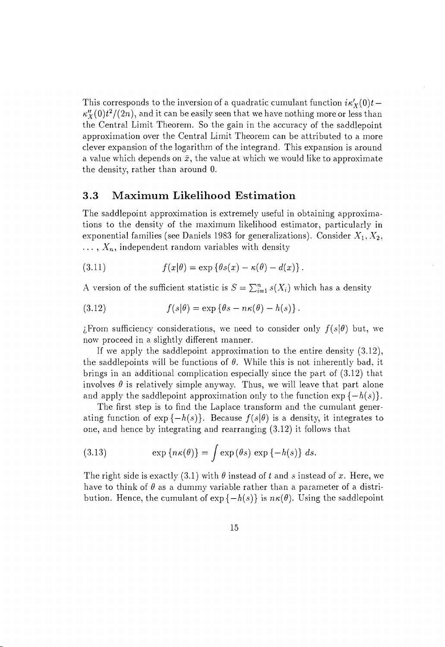This corresponds to the inversion of a quadratic cumulant function  $i\kappa'_{X}(0)t \kappa''_X(0)t^2/(2n)$ , and it can be easily seen that we have nothing more or less than the Central Limit Theorem. So the gain in the accuracy of the saddlepoint approximation over the Central Limit Theorem can be attributed to a more clever expansion of the logarithm of the integrand. This expansion is around a value which depends on  $\bar{x}$ , the value at which we would like to approximate the density, rather than around O.

### **3.3 Maximum Likelihood Estimation**

The saddlepoint approximation is extremely useful in obtaining approximations to the density of the maximum likelihood estimator, particularly in exponential families (see Daniels 1983 for generalizations). Consider  $X_1, X_2,$  $\ldots$ ,  $X_n$ , independent random variables with density

(3.11) 
$$
f(x|\theta) = \exp \{ \theta s(x) - \kappa(\theta) - d(x) \}.
$$

A version of the sufficient statistic is  $S = \sum_{i=1}^{n} s(X_i)$  which has a density

(3.12) 
$$
f(s|\theta) = \exp \{\theta s - n\kappa(\theta) - h(s)\}.
$$

*i*. From sufficiency considerations, we need to consider only  $f(s|\theta)$  but, we now proceed in a slightly different manner.

If we apply the saddlepoint approximation to the entire density (3.12), the saddlepoints will be functions of  $\theta$ . While this is not inherently bad, it brings in an additional complication especially since the part of (3.12) that involves  $\theta$  is relatively simple anyway. Thus, we will leave that part alone and apply the saddlepoint approximation only to the function  $\exp\{-h(s)\}.$ 

The first step is to find the Laplace transform and the cumulant generating function of  $\exp\{-h(s)\}\$ . Because  $f(s|\theta)$  is a density, it integrates to one, and hence by integrating and rearranging (3.12) it follows that

(3.13) 
$$
\exp\left\{n\kappa(\theta)\right\} = \int \exp(\theta s) \exp\left\{-h(s)\right\} ds.
$$

The right side is exactly (3.1) with  $\theta$  instead of t and s instead of x. Here, we have to think of  $\theta$  as a dummy variable rather than a parameter of a distribution. Hence, the cumulant of  $\exp\{-h(s)\}\$ is  $n\kappa(\theta)$ . Using the saddlepoint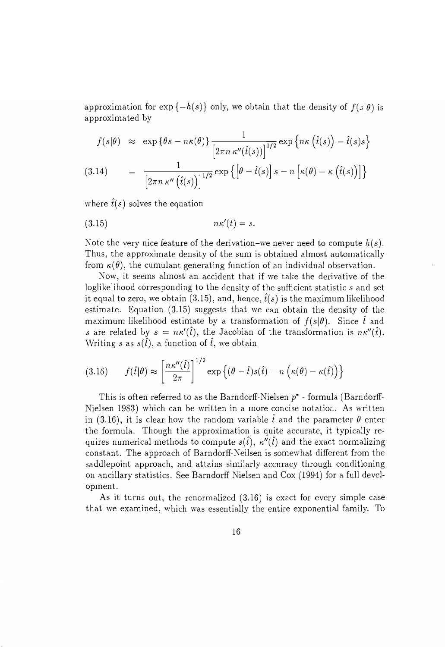approximation for  $\exp\{-h(s)\}\$  only, we obtain that the density of  $f(s|\theta)$  is approximated by

$$
f(s|\theta) \approx \exp\{\theta s - n\kappa(\theta)\}\frac{1}{\left[2\pi n \kappa''(\hat{t}(s))\right]^{1/2}} \exp\left\{n\kappa\left(\hat{t}(s)\right) - \hat{t}(s)s\right\}
$$
  
3.14) = 
$$
\frac{1}{\left[\theta - \hat{t}(s)\right]^{1/2}} \exp\left\{\left[\theta - \hat{t}(s)\right]^{1/2} - \kappa\left(\hat{t}(s)\right)\right]\}
$$

(3.14) = 
$$
\frac{1}{\left[2\pi n \kappa''\left(\hat{t}(s)\right)\right]^{1/2}} \exp \left\{\left[\theta - \hat{t}(s)\right]s - n\left[\kappa(\theta) - \kappa\left(\hat{t}(s)\right)\right]\right\}
$$

where  $\hat{t}(s)$  solves the equation

$$
(3.15) \t\t n\kappa'(t) = s.
$$

Note the very nice feature of the derivation-we never need to compute  $h(s)$ . Thus, the approximate density of the sum is obtained almost automatically from  $\kappa(\theta)$ , the cumulant generating function of an individual observation.

Now, it seems almost an accident that if we take the derivative of the loglikelihood corresponding to the density of the sufficient statistic *s* and set it equal to zero, we obtain (3.15), and, hence,  $\hat{t}(s)$  is the maximum likelihood estimate. Equation (3.15) suggests that we can obtain the density of the maximum likelihood estimate by a transformation of  $f(s|\theta)$ . Since  $\hat{t}$  and s are related by  $s = n\kappa'(\hat{t})$ , the Jacobian of the transformation is  $n\kappa''(\hat{t})$ . Writing *s* as  $s(\hat{t})$ , a function of  $\hat{t}$ , we obtain

(3.16) 
$$
f(\hat{t}|\theta) \approx \left[\frac{n\kappa''(\hat{t})}{2\pi}\right]^{1/2} \exp\left\{(\theta - \hat{t})s(\hat{t}) - n\left(\kappa(\theta) - \kappa(\hat{t})\right)\right\}
$$

This is often referred to as the Barndorff-Nielsen  $p^*$  - formula (Barndorff-Nielsen 1983) which can be written in a more concise notation. As written in (3.16), it is clear how the random variable  $\hat{t}$  and the parameter  $\theta$  enter the formula. Though the approximation is quite accurate, it typically requires numerical methods to compute  $s(\hat{t})$ ,  $\kappa''(\hat{t})$  and the exact normalizing constant. The approach of Barndorff-Neilsen is somewhat different from the saddlepoint approach, and attains similarly accuracy through conditioning on ancillary statistics. See Barndorff-Nielsen and Cox (1994) for a full development.

As it turns out, the renormalized (3.16) is exact for every simple case that we examined, which was essentially the entire exponential family. To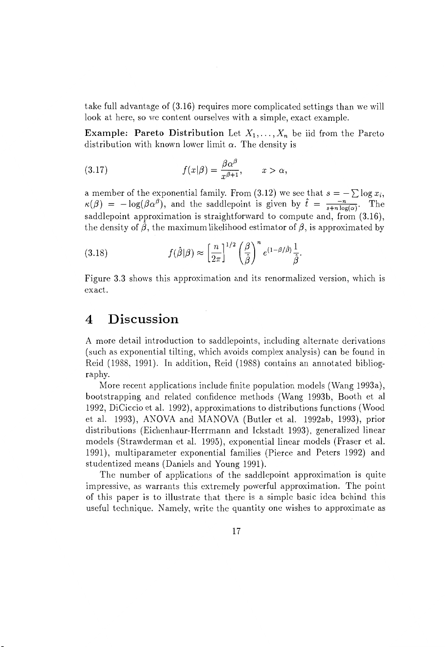take full advantage of (3.16) requires more complicated settings than we will look at here, so we content ourselves with a simple, exact example.

**Example: Pareto Distribution** Let  $X_1, \ldots, X_n$  be iid from the Pareto distribution with known lower limit  $\alpha$ . The density is

(3.17) 
$$
f(x|\beta) = \frac{\beta \alpha^{\beta}}{x^{\beta+1}}, \qquad x > \alpha,
$$

a member of the exponential family. From (3.12) we see that  $s = -\sum \log x_i$ ,  $\kappa(\beta) = -\log(\beta \alpha^{\beta})$ , and the saddlepoint is given by  $\hat{t} = \frac{-n}{s+n\log(\alpha)}$ . The saddlepoint approximation is straightforward to compute and, from  $(3.16)$ , the density of  $\hat{\beta}$ , the maximum likelihood estimator of  $\beta$ , is approximated by

(3.18) 
$$
f(\hat{\beta}|\beta) \approx \left[\frac{n}{2\pi}\right]^{1/2} \left(\frac{\beta}{\hat{\beta}}\right)^n e^{(1-\beta/\hat{\beta})} \frac{1}{\hat{\beta}}.
$$

Figure 3.3 shows this approximation and its renormalized version, which is exact.

## **4 Discussion**

A more detail introduction to saddlepoints, including alternate derivations (such as exponential tilting, which avoids complex analysis) can be found in Reid (1988, 1991). **In** addition, Reid (1988) contains an annotated bibliography.

More recent applications include finite population models (Wang 1993a), bootstrapping and related confidence methods (Wang 1993b, Booth et al 1992, DiCiccio et al. 1992), approximations to distributions functions (Wood et al. 1993), ANOVA and MANOVA (Butler et al. 1992ab, 1993), prior distributions (Eichenhaur-Herrmann and Ickstadt 1993), generalized linear models (Strawderman et al. 1995), exponential linear models (Fraser et al. 1991), multiparameter exponential families (Pierce and Peters 1992) and studentized means (Daniels and Young 1991).

The number of applications of the saddlepoint approximation is quite impressive, as warrants this extremely powerful approximation. The point of this paper is to illustrate that there is a simple basic idea behind this useful technique. Namely, write the quantity one wishes to approximate as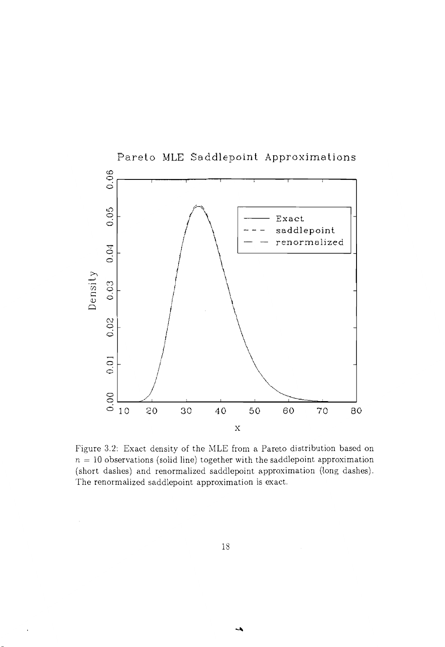

Figure 3.2: Exact density of the MLE from a Pareto distribution based on  $n = 10$  observations (solid line) together with the saddlepoint approximation (short dashes) and renormalized saddlepoint approximation (long dashes). The renormalized saddlepoint approximation is exact.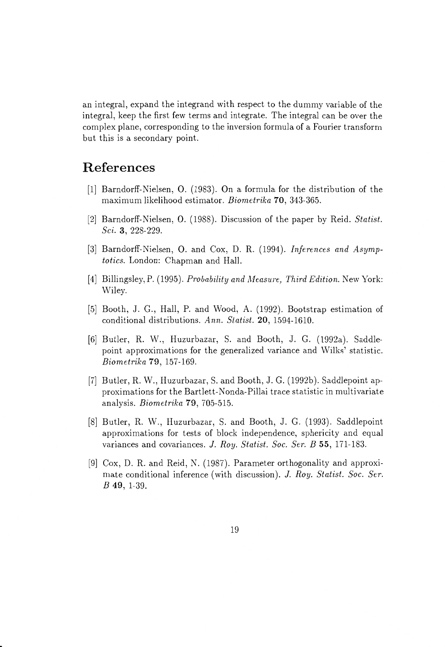an integral, expand the integrand with respect to the dummy variable of the integral, keep the first few terms and integrate. The integral can be over the complex plane, corresponding to the inversion formula of a Fourier transform but this is a secondary point.

# **References**

- [1] Barndorff-Nielsen, O. (1983). On a formula for the distribution of the maximum likelihood estimator. *Biometrika* 70, 343-365.
- [2] Barndorff-Nielsen, O. (1988). Discussion of the paper by Reid. *Statist. Sci.* 3, 228-229.
- [3] Barndorff-Nielsen, O. and Cox, D. R. (1994). *Inferences and Asympto tics.* London: Chapman and Hall.
- [4] Billingsley, P. (1995). *Probability and Measure} Third Edition.* New York: Wiley.
- [5] Booth, J. G., Hall, P. and Wood, A. (1992). Bootstrap estimation of conditional distributions. *Ann. Statist.* 20, 1594-1610.
- [6] Butler, R. W., Huzurbazar, S. and Booth, J. G. (1992a). Saddlepoint approximations for the generalized variance and Wilks' statistic. *Biometrika* 79, 157-169.
- [7] Butler, R. W., Huzurbazar, S. and Booth, J. G. (1992b). Saddlepoint approximations for the Bartlett-Nonda-Pillai trace statistic in multivariate analysis. *Biometrika* 79, 705-515.
- [8] Butler, R. W., Huzurbazar, S. and Booth, J. G. (1993). Saddlepoint approximations for tests of block independence, sphericity and equal variances and covariances. J. *Roy. Statist. Soc. Ser. B* 55, 171-183.
- [9] Cox, D. R. and Reid, N. (1987). Parameter orthogonality and approximate conditional inference (with discussion). *J. Roy. Statist. Soc. Ser.*  B 49, 1-39.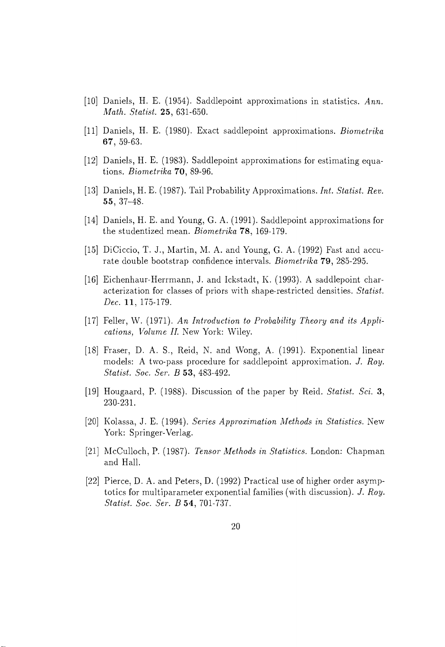- [10] Daniels, H. E. (1954). Saddlepoint approximations in statistics. *Ann. Math. Statist.* 25, 631-650.
- [11] Daniels, H. E. (1980). Exact saddlepoint approximations. *Biometrika*  67, 59-63.
- [12] Daniels, H. E. (1983). Saddlepoint approximations for estimating equations. *Biometrika* 70, 89-96.
- [13] Daniels, H. E. (1987). Tail Probability Approximations. *Int. Statist. Rev.*  55, 37-48.
- [14] Daniels, H. E. and Young, G. A. (1991). Saddlepoint approximations for the studentized mean. *Biometrika* 78, 169-179.
- [15] DiCiccio, T. J., Martin, M. A. and Young, G. A. (1992) Fast and accurate double bootstrap confidence intervals. *Biometrika* 79, 285-295.
- [16] Eichenhaur-Herrmann, J. and Ickstadt, K. (1993). A saddlepoint characterization for classes of priors with shape-restricted densities. *Statist. Dec.* 11, 175-179.
- [17] Feller, W. (1971). An Introduction to Probability Theory and its Appli*cations, Volume II. New York: Wiley.*
- [18] Fraser, D. A. S., Reid, N. and Wong, A. (1991). Exponential linear models: A two-pass procedure for saddlepoint approximation. J. *Roy. Statist. Soc. Ser. B* 53, 483-492.
- [19] Hougaard, P. (1988). Discussion of the paper by Reid. *Statist. Sci. 3,*  230-231.
- [20] Kolassa, J. E. (1994). *Series Approximation Alethods in Statistics.* New York: Springer-Verlag.
- [21] McCulloch, P. (1987). *Tensor Methods in Statistics.* London: Chapman and Hall.
- [22] Pierce, D. A. and Peters, D. (1992) Practical use of higher order asymptoties for multiparameter exponential families (with discussion). *J. Roy. Statist. Soc. Ser. B* 54, 701-737.